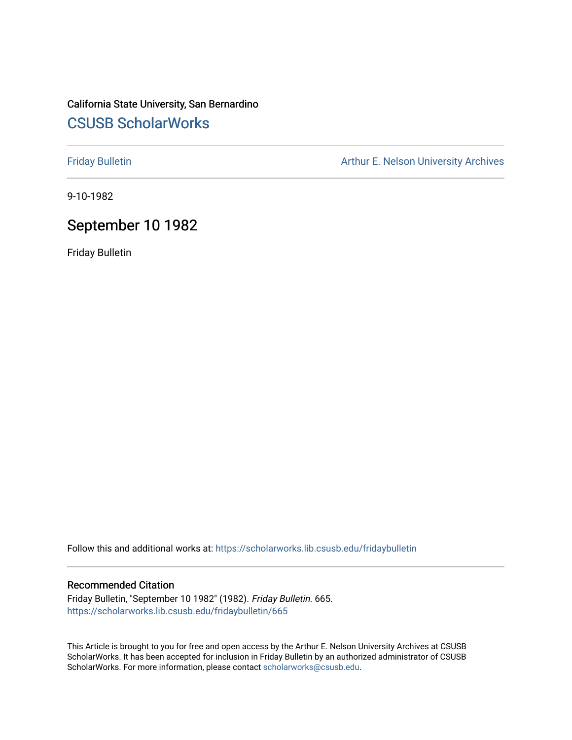# California State University, San Bernardino [CSUSB ScholarWorks](https://scholarworks.lib.csusb.edu/)

[Friday Bulletin](https://scholarworks.lib.csusb.edu/fridaybulletin) **Arthur E. Nelson University Archives** Arthur E. Nelson University Archives

9-10-1982

# September 10 1982

Friday Bulletin

Follow this and additional works at: [https://scholarworks.lib.csusb.edu/fridaybulletin](https://scholarworks.lib.csusb.edu/fridaybulletin?utm_source=scholarworks.lib.csusb.edu%2Ffridaybulletin%2F665&utm_medium=PDF&utm_campaign=PDFCoverPages)

### Recommended Citation

Friday Bulletin, "September 10 1982" (1982). Friday Bulletin. 665. [https://scholarworks.lib.csusb.edu/fridaybulletin/665](https://scholarworks.lib.csusb.edu/fridaybulletin/665?utm_source=scholarworks.lib.csusb.edu%2Ffridaybulletin%2F665&utm_medium=PDF&utm_campaign=PDFCoverPages)

This Article is brought to you for free and open access by the Arthur E. Nelson University Archives at CSUSB ScholarWorks. It has been accepted for inclusion in Friday Bulletin by an authorized administrator of CSUSB ScholarWorks. For more information, please contact [scholarworks@csusb.edu.](mailto:scholarworks@csusb.edu)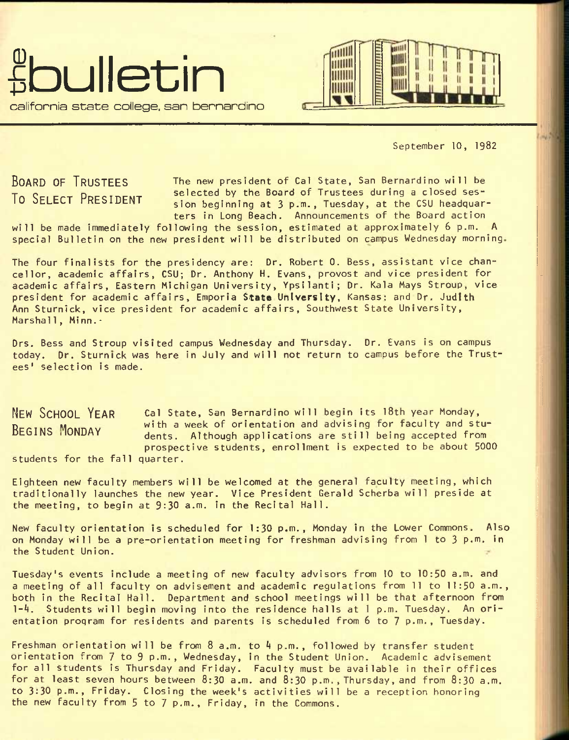



September 10, 1982

BOARD OF TRUSTEES To SELECT PRESIDENT

The new president of Cal State, San Bernardino will be selected by the Board of Trustees during a closed session beginning at 3 p.m., Tuesday, at the CSU headquarters in Long Beach. Announcements of the Board action

will be made immediately following the session, estimated at approximately 6 p.m. A special Bulletin on the new president will be distributed on campus Wednesday morning

The four finalists for the presidency are: Dr. Robert 0. Bess, assistant vice chancellor, academic affairs, CSU; Dr. Anthony H. Evans, provost and vice president for academic affairs. Eastern Michigan University, Ypsilanti; Dr. Kala Mays Stroup, vice president for academic affairs, Emporia Stat® **University,** Kansas: and **Dr.** Judith Ann Sturnick, vice president for academic affairs, Southwest State University, Marshall, Minn. $\cdot$ 

Drs. Bess and Stroup visited campus Wednesday and Thursday. Dr. Evans is on campus today. Dr. Sturnick was here in July and will not return to campus before the Trustees' selection is made.

NEW SCHOOL YEAR Cal State, San Bernardino will begin its 18th year Monday, BEGINS MONDAY with a week of orientation and advising for faculty and stu-<br>REGINS MONDAY dants Although applications are still being assented from dents. Although applications are still being accepted from prospective students, enrollment is expected to be about 5000 students for the fall quarter.

Eighteen new faculty members will be welcomed at the general faculty meeting, which traditionally launches the new year. Vice President Gerald Scherba will preside at the meeting, to begin at 9:30 a.m. in the Recital Hall.

New faculty orientation is scheduled for 1:30 p.m., Monday in the Lower Commons. Also on Monday will be a pre-orientation meeting for freshman advising from I to 3 p.m. in the Student Union.

Tuesday's events include a meeting of new faculty advisors from 10 to 10:50 a.m. and a meeting of all faculty on advisement and academic regulations from 11 to 11:50 a.m., both in the Recital Hall. Department and school meetings will be that afternoon from 1-A. Students will begin moving into the residence halls at 1 p.m. Tuesday. An orientation program for residents and parents is scheduled from 6 to 7 p.m., Tuesday.

Freshman orientation will be from  $8$  a.m. to  $4$  p.m., followed by transfer student orientation from 7 to 9 p.m., Wednesday, in the Student Union. Academic advisement for all students is Thursday and Friday. Faculty must be available in their offices for at least seven hours between 8:30 a.m. and 8:30 p.m., Thursday, and from 8:30 a.m. to 3:30 p.m., Friday. Closing the week's activities will be a reception honoring the new faculty from 5 to 7 p.m., Friday, in the Commons.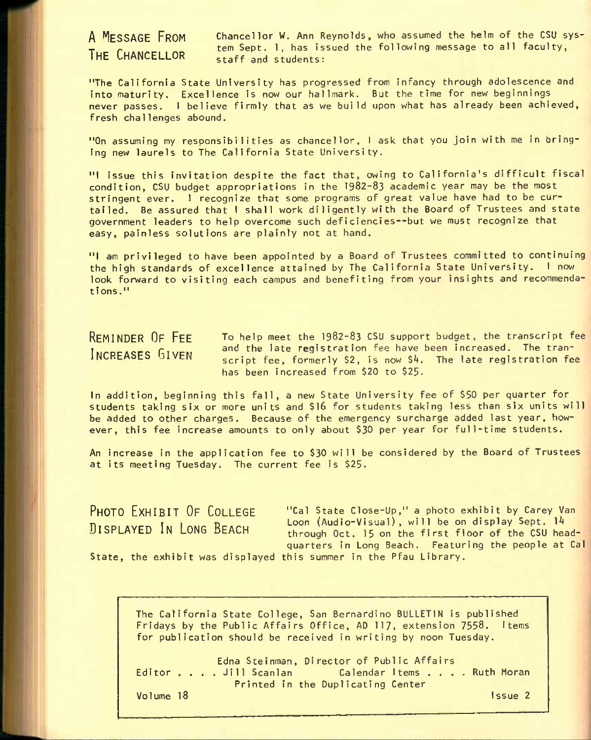# THE CHANCELLOR

A MESSAGE FROM chancellor W. Ann Reynolds, who assumed the helm of the CSU system Sept. 1, has issued the following message to all faculty, staff and students:

"The California State University has progressed from infancy through adolescence and into maturity. Excellence is now our hallmark. But the time for new beginnings never passes. I believe firmly that as we build upon what has already been achieved, fresh challenges abound.

"On assuming my responsibilities as chancellor, I ask that you join with me in bringing new laurels to The California State University.

"I issue this invitation despite the fact that, owing to California's difficult fiscal condition, CSU budget appropriations in the 1982-83 academic year may be the most stringent ever. I recognize that some programs of great value have had to be curtailed. Be assured that I shall work diligently with the Board of Trustees and state government leaders to help overcome such deficiencies—but we must recognize that easy, painless solutions are plainly not at hand.

"I am privileged to have been appointed by a Board of Trustees committed to continuing the high standards of excellence attained by The California State University. I now look forward to visiting each campus and benefiting from your insights and recommendations."

# REMINDER OF FEE INCREASES GIVEN

To help meet the 1982-83 CSU support budget, the transcript fee and the late registration fee have been increased. The transcript fee, formerly \$2, is now \$4. The late registration fee has been increased from \$20 to \$25-

In addition, beginning this fall, a new State University fee of \$50 per quarter for students taking six or more units and \$16 for students taking less than six units will be added to other charges. Because of the emergency surcharge added last year, however, this fee increase amounts to only about \$30 per year for full-time students.

An increase in the application fee to \$30 will be considered by the Board of Trustees at its meeting Tuesday. The current fee is \$25.

PHOTO EXHIBIT OF COLLEGE DISPLAYED IN LONG BEACH

"Cal State Close-Up," a photo exhibit by Carey Van Loon (Audio-Visual), will be on display Sept. 14 through Oct. 15 on the first floor of the CSU headquarters in Long Beach. Featuring the people at Cal

State, the exhibit was displayed this summer in the Pfau Library.

The California State College, San Bernardino BULLETIN is published Fridays by the Public Affairs Office, AD 117, extension 7558. items for publication should be received in writing by noon Tuesday.

Edna Steinman, Director of Public Affairs Editor . . . . Jill Scanlan Calendar I tems . . . . Ruth Moran Printed in the Duplicating Center Volume 18 Issue 2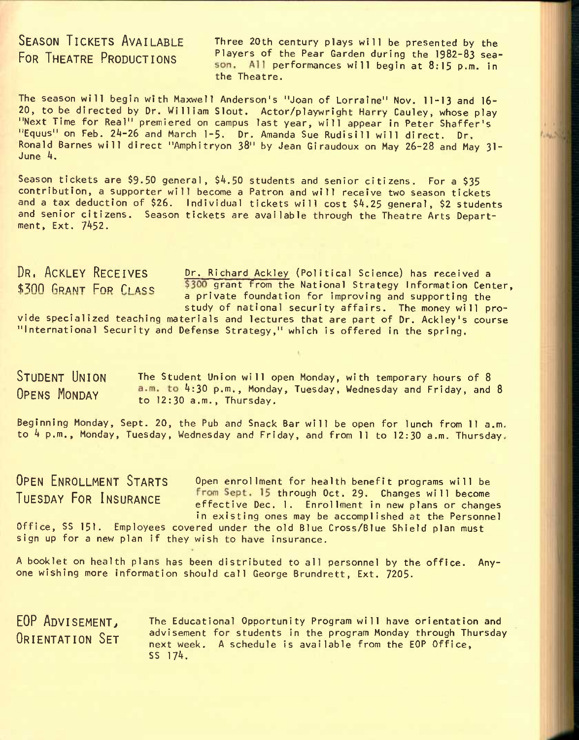SEASON TICKETS AVAILABLE Three 20th century plays will be presented by the FOR THEATRE PRODUCTIONS Players of the Pear Garden during the 1982-83 season. All performances will begin at 8:15 p.m. in the Theatre.

The season will begin with Maxwell Anderson's "Joan of Lorraine" Nov. 11-13 and 16- 20, to be directed by Dr. William Slout. Actor/playwright Harry Cauley, whose play "Next Time for Real" premiered on campus last year, will appear in Peter Shaffer's "Equus" on Feb. 24-26 and March 1-5. Dr. Amanda Sue Rudisill will direct. Dr. Ronald Barnes will direct "Amphitryon 38" by Jean Giraudoux on May 26-28 and May 31- June 4.

Season tickets are \$9.50 general,  $$4.50$  students and senior citizens. For a  $$35$ contribution, a supporter will become a Patron and will receive two season tickets and a tax deduction of \$26. Individual tickets will cost \$4.25 general, \$2 students and senior citizens. Season tickets are available through the Theatre Arts Department, Ext. 7452.

DR, ACKLEY RECEIVES Dr. Richard Ackley (Political Science) has received a \$300 GRANT FOR CLASS \$300 grant from the National Strategy Information Center, a private foundation for improving and supporting the study of national security affairs. The money will pro-

vide specialized teaching materials and lectures that are part of Dr. Ackley's course "International Security and Defense Strategy," which is offered in the spring.

STUDENT UNION The Student Union will open Monday, with temporary hours of 8 OPENS MONDAY  $a.m.$  to 4:30 p.m., Monday, Tuesday, Wednesday and Friday, and 8 to 12:30 a.m., Thursday.

Beginning Monday, Sept. 20, the Pub and Snack Bar will be open for lunch from 11 a.m, to 4 p.m., Monday, Tuesday, Wednesday and Friday, and from 11 to 12:30 a.m. Thursday.

OPEN ENROLLMENT STARTS Open enrollment for health benefit programs will be<br>Turenay Fen Ivernames from Sept. 15 through Oct. 29. Changes will become TUESDAY FOR INSURANCE trom Sept. 15 through Oct. 29. Changes will become effective Dec. 1. Enrollment in new plans or changes in existing ones may be accomplished at the Personnel Office, SS 151. Employees covered under the old Blue Cross/Blue Shield plan must sign up for a new plan if they wish to have insurance.

A booklet on health plans has been distributed to all personnel by the office. Anyone wishing more information should call George Brundrett, Ext. 7205.

EOP ADVISEMENT, ORIENTATION SET The Educational Opportunity Program will have orientation and advisement for students in the program Monday through Thursday next week. A schedule is available from the EOP Office, SS 174.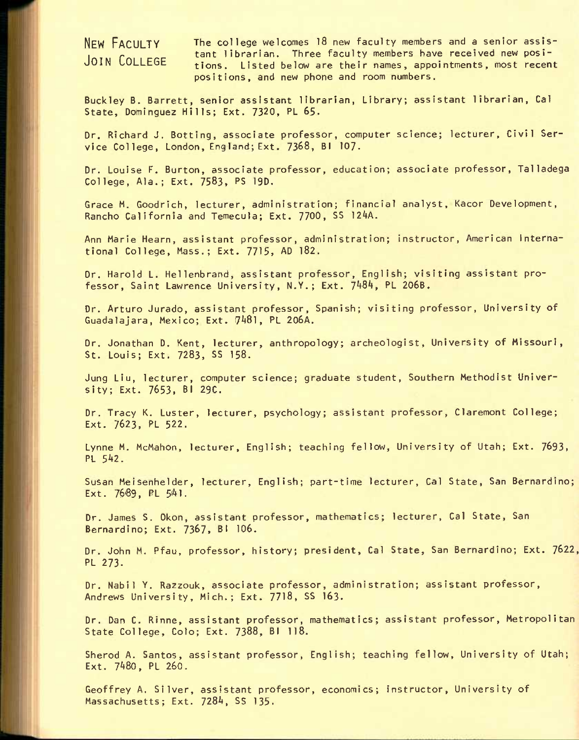NEW FACULTY JOIN COLLEGE The college welcomes 18 new faculty members and a senior assistant librarian. Three faculty members have received new positions. Listed below are their names, appointments, most recent positions, and new phone and room numbers.

Buckley B. Barrett, senior assistant librarian, Library; assistant librarian, Cal State, Dominguez Hills; Ext. 7320, PL 65.

Dr. Richard J. Sotting, associate professor, computer science; lecturer, Civil Service College, London, England; Ext. 7368, Bl 107.

Dr. Louise F. Burton, associate professor, education; associate professor, Talladega College, Ala.; Ext. 7583. PS 19D.

Grace M. Goodrich, lecturer, administration; financial analyst, Kacor Development, Rancho California and Temecula; Ext. 7700, SS 124A.

Ann Marie Hearn, assistant professor, administration; instructor, American International College, Mass.; Ext. 7715, AD l82.

Dr. Harold L. Hellenbrand, assistant professor, English; visiting assistant professor, Saint Lawrence University, N.Y.; Ext. 7^84, PL 206B.

Dr. Arturo Jurado, assistant professor, Spanish; visiting professor, University of Guadalajara, Mexico; Ext. 7A8l, PL 206A.

Dr. Jonathan D. Kent, lecturer, anthropology; archeologist. University of Missouri, St. Louis; Ext. 7283, SS 158.

Jung Liu, lecturer, computer science; graduate student. Southern Methodist University; Ext. 7653, Bl 29C.

Dr. Tracy K. Luster, lecturer, psychology; assistant professor, Claremont College; Ext. 7623, PL 522.

Lynne M. McMahon, lecturer, English; teaching fellow. University of Utah; Ext. 7693, PL 542.

Susan Meisenhelder, lecturer, English; part-time lecturer, Cal State, San Bernardino; Ext.  $7689,$  PL  $541.$ 

Dr. James S. Okon, assistant professor, mathematics; lecturer, Cal State, San Bernardino; Ext. 7367, Bl 106.

Dr. John M. Pfau, professor, history; president, Cal State, San Bernardino; Ext. 7622, PL 273.

Dr. Nabil Y. Razzouk, associate professor, administration; assistant professor, Andrews University, Mich.; Ext. 7718, SS I63.

Dr. Dan C. Rinne, assistant professor, mathematics; assistant professor. Metropolitan State College, Colo; Ext. 7388, Bl II8.

Sherod A. Santos, assistant professor, English; teaching fellow, University of Utah; Ext. 7480, PL 260.

Geoffrey A. Silver, assistant professor, economics; Instructor, University of Massachusetts; Ext. 7284, SS 135.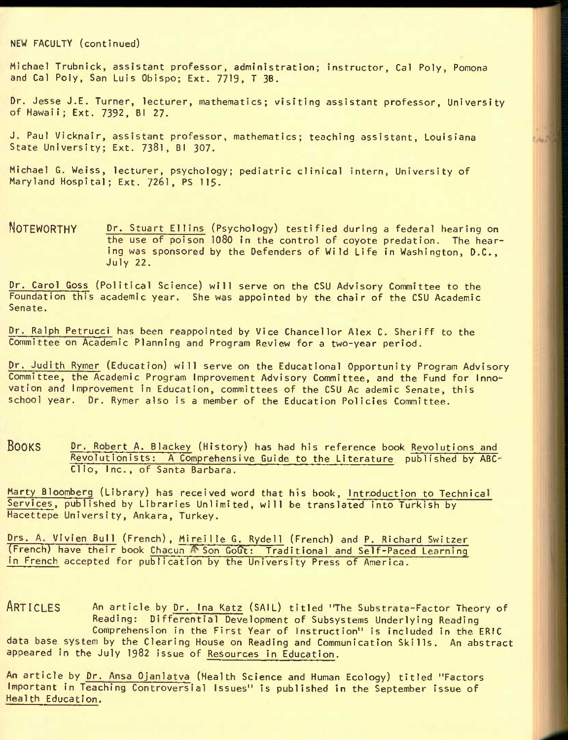NEW FACULTY (continued)

Michael Trubnick, assistant professor, administration; instructor, Cal Poly, Pomona and Cal Poly, San Luis Obispo; Ext. 7719, T 3B.

Dr. Jesse J.E. Turner, lecturer, mathematics; visiting assistant professor. University of Hawaii; Ext. 7392, Bl 27.

J. Paul Vicknair, assistant professor, mathematics; teaching assistant, Louisiana State University; Ext. 7381, Bl 307.

Michael G. Weiss, lecturer, psychology; pediatric clinical intern. University of Maryland Hospital; Ext. 7261, PS 115.

NOTEWORTHY Dr. Stuart Ellins (Psychology) testified during a federal hearing on the use of poison 1080 in the control of coyote predation. The hearing was sponsored by the Defenders of Wild Life in Washington, D.C., July 22.

Dr. Carol Goss (Political Science) will serve on the CSU Advisory Committee to the Foundation this academic year. She was appointed by the chair of the CSU Academic Senate.

Dr. Ralph Petrucci has been reappointed by Vice Chancellor Alex C. Sheriff to the Committee on Academic Planning and Program Review for a two-year period.

Dr. Judith Rymer (Education) will serve on the Educational Opportunity Program Advisory Committee, the Academic Program Improvement Advisory Committee, and the Fund for Innovation and Improvement in Education, committees of the CSU Ac ademic Senate, this school year. Dr. Rymer also is a member of the Education Policies Committee.

BOOKS Dr. Robert A. Blackey (History) has had his reference book Revolutions and Revolutionists: A Comprehensive Guide to the Literature published by ABC-Clio, Inc., of Santa Barbara.

Marty Bloomberg (Library) has received word that his book, Introduction to Technical Services, published by Libraries Unlimited, will be translated into Turkish by Hacettepe University, Ankara, Turkey.

Drs. A. Vivien Bull (French), Mireille 6. Rydell (French) and P. Richard Switzer (French) have their book Chacun A Son Gout: Traditional and Self-Paced Learning in French accepted for publication by the University Press of America.

ARTICLES An article by Dr. Ina Katz (SAIL) titled "The Substrata-Factor Theory of Reading: Differential Development of Subsystems Underlying Reading Comprehension in the First Year of Instruction" is included in the ERIC data base system by the Clearing House on Reading and Communication Skills. An abstract appeared in the July 1982 Issue of Resources In Education.

An article by Dr. Ansa Ojanlatva (Health Science and Human Ecology) titled "Factors Important in Teaching Controversial Issues" Is published in the September issue of Health Education.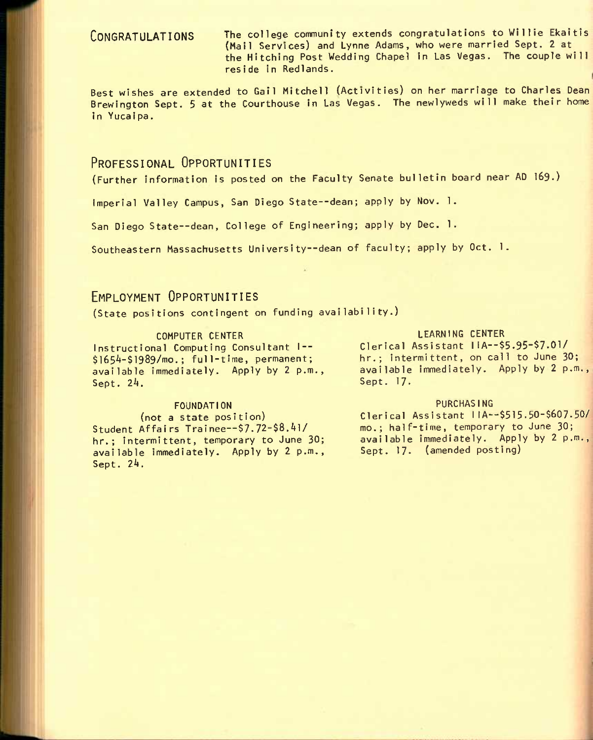CONGRATULATIONS The college community extends congratulations to Willie Ekaitis (Mail Services) and Lynne Adams, who were married Sept. 2 at the Hitching Post Wedding Chapel in Las Vegas. The couple will reside in Redlands.

Best wishes are extended to Gail Mitchell (Activities) on her marriage to Charles Dean Brewington Sept. 5 at the Courthouse in Las Vegas. The newlyweds will make their home in Yucaipa.

# PROFESSIONAL OPPORTUNITIES

(Further information is posted on the Faculty Senate bulletin board near AD **I69.)** 

Imperial Valley Campus, San Diego State--dean; apply by Nov. 1.

San Diego State--dean, College of Engineering; apply by Dec. 1.

Southeastern Massachusetts University--dean of faculty; apply by Oct. 1.

# EMPLOYMENT OPPORTUNITIES

(State positions contingent on funding availability.)

Instructional Computing Consultant I -- $$1654-$1989/mo.; full-time, permanent;$ available immediately. Apply by 2 p.m., Sept. 24.

### FOUNDATION PURCHASING

Student Affairs Trainee--\$7.72-\$8.41/ hr.; intermittent, temporary to June 30; available immediately. Apply by 2 p.m., Sept. 24.

### COMPUTER CENTER COMPUTER CENTER

Clerical Assistant IIA--\$5.95-\$7.01/ hr.; intermittent, on call to June 30; available immediately. Apply by 2 p.m., Sept. 17.

(not a state position) Clerical Assistant IlA—\$515.50-\$607-50/ mo.; half-time, temporary to June 30; available immediately. Apply by 2 p.m., Sept. 17. (amended posting)